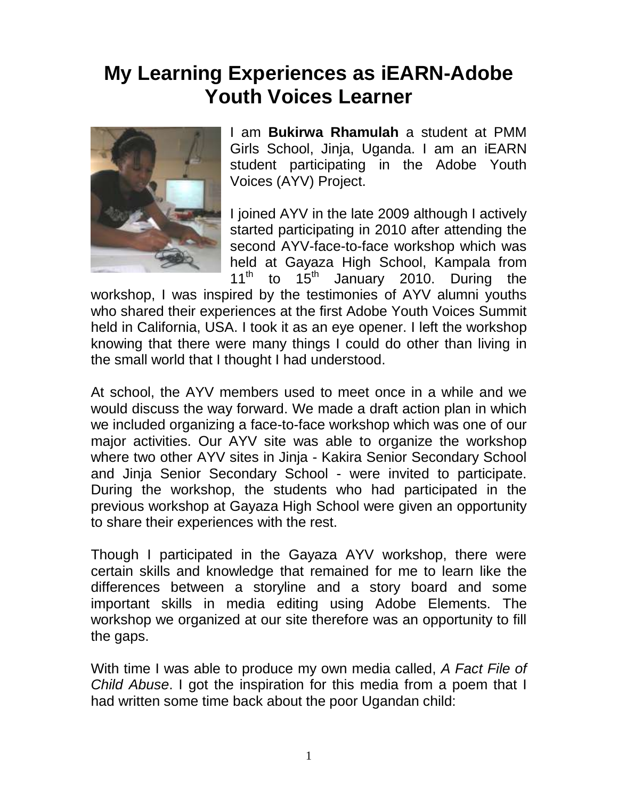## **My Learning Experiences as iEARN-Adobe Youth Voices Learner**



I am **Bukirwa Rhamulah** a student at PMM Girls School, Jinja, Uganda. I am an iEARN student participating in the Adobe Youth Voices (AYV) Project.

I joined AYV in the late 2009 although I actively started participating in 2010 after attending the second AYV-face-to-face workshop which was held at Gayaza High School, Kampala from  $11<sup>th</sup>$  to  $15<sup>th</sup>$  January 2010. During the

workshop, I was inspired by the testimonies of AYV alumni youths who shared their experiences at the first Adobe Youth Voices Summit held in California, USA. I took it as an eye opener. I left the workshop knowing that there were many things I could do other than living in the small world that I thought I had understood.

At school, the AYV members used to meet once in a while and we would discuss the way forward. We made a draft action plan in which we included organizing a face-to-face workshop which was one of our major activities. Our AYV site was able to organize the workshop where two other AYV sites in Jinja - Kakira Senior Secondary School and Jinja Senior Secondary School - were invited to participate. During the workshop, the students who had participated in the previous workshop at Gayaza High School were given an opportunity to share their experiences with the rest.

Though I participated in the Gayaza AYV workshop, there were certain skills and knowledge that remained for me to learn like the differences between a storyline and a story board and some important skills in media editing using Adobe Elements. The workshop we organized at our site therefore was an opportunity to fill the gaps.

With time I was able to produce my own media called, *A Fact File of Child Abuse*. I got the inspiration for this media from a poem that I had written some time back about the poor Ugandan child: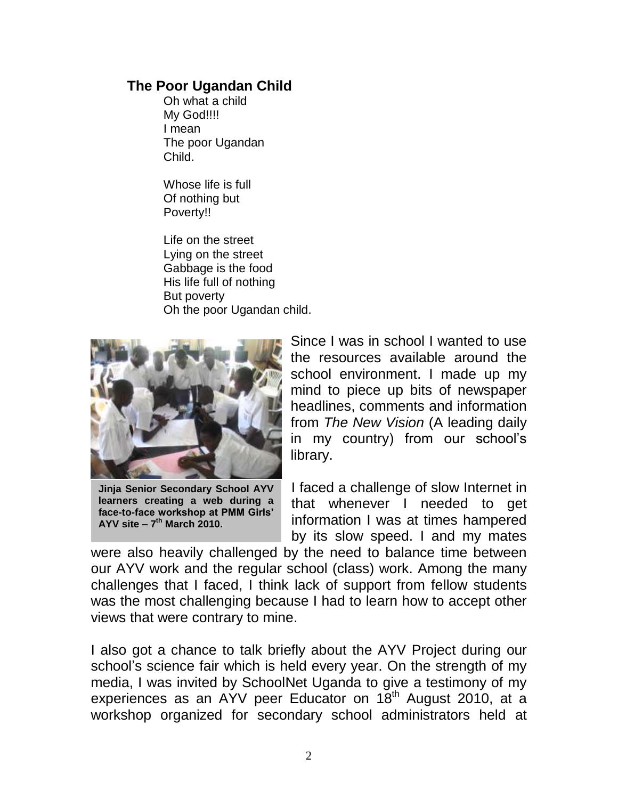## **The Poor Ugandan Child**

Oh what a child My God!!!! I mean The poor Ugandan Child.

Whose life is full Of nothing but Poverty!!

Life on the street Lying on the street Gabbage is the food His life full of nothing But poverty Oh the poor Ugandan child.



**Jinja Senior Secondary School AYV learners creating a web during a face-to-face workshop at PMM Girls' AYV site – 7 th March 2010.**

Since I was in school I wanted to use the resources available around the school environment. I made up my mind to piece up bits of newspaper headlines, comments and information from *The New Vision* (A leading daily in my country) from our school"s library.

I faced a challenge of slow Internet in that whenever I needed to get information I was at times hampered by its slow speed. I and my mates

were also heavily challenged by the need to balance time between our AYV work and the regular school (class) work. Among the many challenges that I faced, I think lack of support from fellow students was the most challenging because I had to learn how to accept other views that were contrary to mine.

I also got a chance to talk briefly about the AYV Project during our school"s science fair which is held every year. On the strength of my media, I was invited by SchoolNet Uganda to give a testimony of my experiences as an AYV peer Educator on 18<sup>th</sup> August 2010, at a workshop organized for secondary school administrators held at